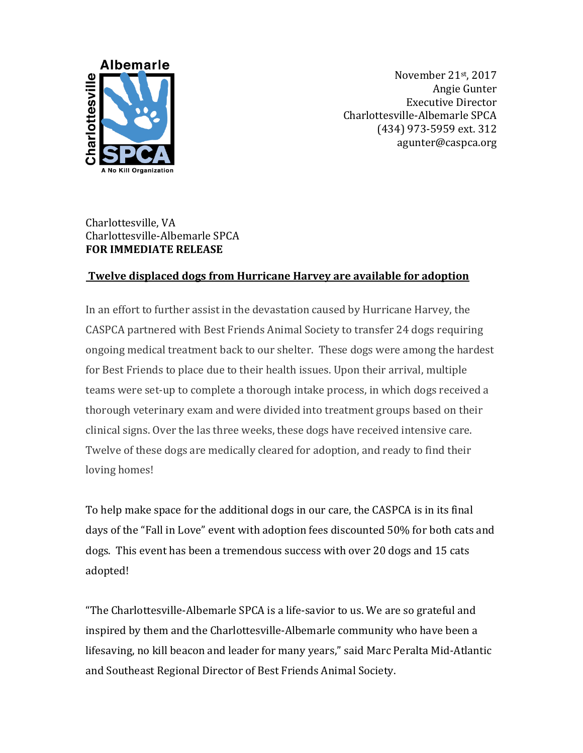

November 21st, 2017 Angie Gunter Executive Director Charlottesville-Albemarle SPCA (434) 973-5959 ext. 312 agunter@caspca.org

## Charlottesville, VA Charlottesville-Albemarle SPCA **FOR IMMEDIATE RELEASE**

## **Twelve displaced dogs from Hurricane Harvey are available for adoption**

In an effort to further assist in the devastation caused by Hurricane Harvey, the CASPCA partnered with Best Friends Animal Society to transfer 24 dogs requiring ongoing medical treatment back to our shelter. These dogs were among the hardest for Best Friends to place due to their health issues. Upon their arrival, multiple teams were set-up to complete a thorough intake process, in which dogs received a thorough veterinary exam and were divided into treatment groups based on their clinical signs. Over the las three weeks, these dogs have received intensive care. Twelve of these dogs are medically cleared for adoption, and ready to find their loving homes!

To help make space for the additional dogs in our care, the CASPCA is in its final days of the "Fall in Love" event with adoption fees discounted 50% for both cats and dogs. This event has been a tremendous success with over 20 dogs and 15 cats adopted!

"The Charlottesville-Albemarle SPCA is a life-savior to us. We are so grateful and inspired by them and the Charlottesville-Albemarle community who have been a lifesaving, no kill beacon and leader for many years," said Marc Peralta Mid-Atlantic and Southeast Regional Director of Best Friends Animal Society.